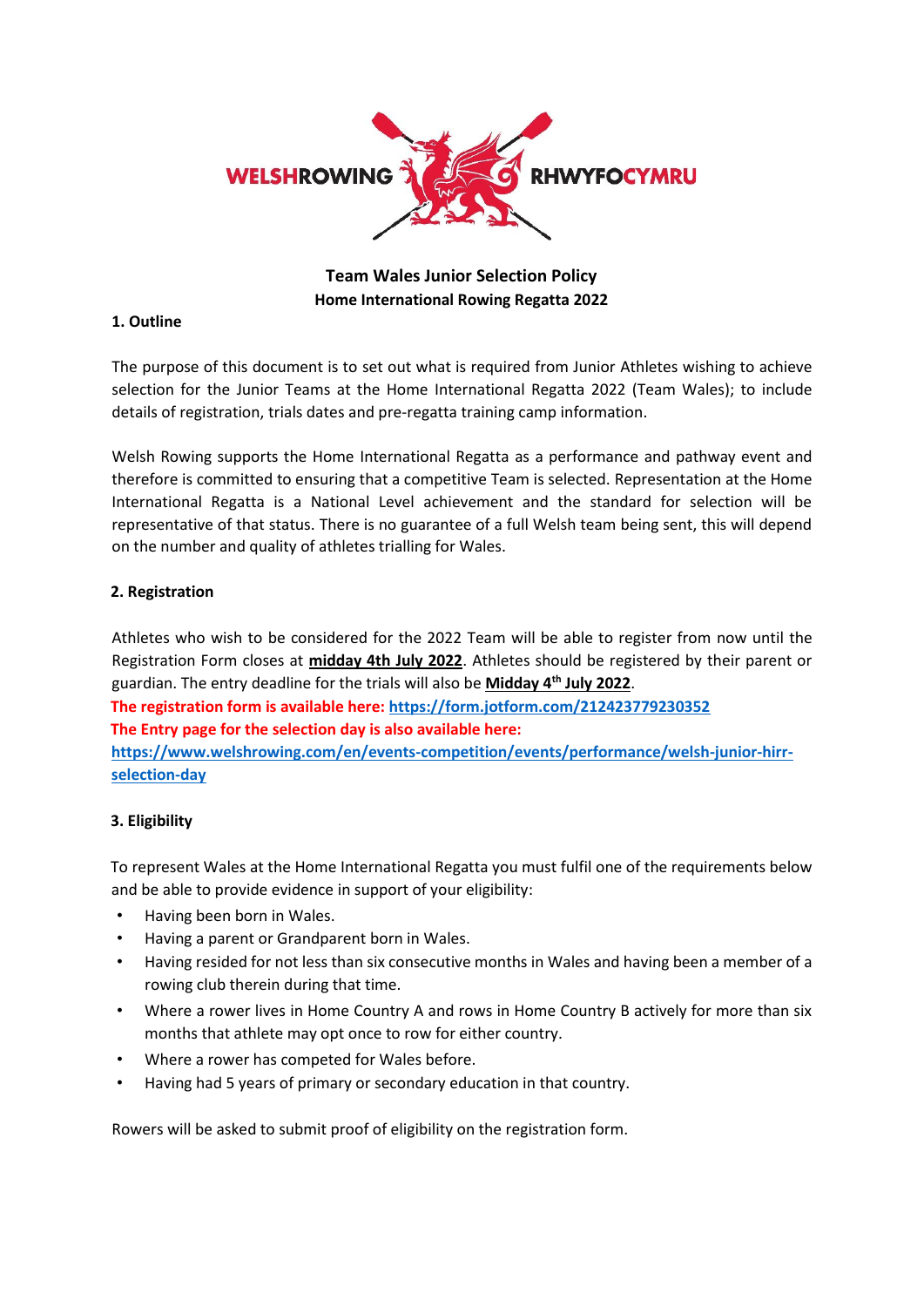

# **Team Wales Junior Selection Policy Home International Rowing Regatta 2022**

### **1. Outline**

The purpose of this document is to set out what is required from Junior Athletes wishing to achieve selection for the Junior Teams at the Home International Regatta 2022 (Team Wales); to include details of registration, trials dates and pre-regatta training camp information.

Welsh Rowing supports the Home International Regatta as a performance and pathway event and therefore is committed to ensuring that a competitive Team is selected. Representation at the Home International Regatta is a National Level achievement and the standard for selection will be representative of that status. There is no guarantee of a full Welsh team being sent, this will depend on the number and quality of athletes trialling for Wales.

## **2. Registration**

Athletes who wish to be considered for the 2022 Team will be able to register from now until the Registration Form closes at **midday 4th July 2022**. Athletes should be registered by their parent or guardian. The entry deadline for the trials will also be **Midday 4th July 2022**.

**The registration form is available here[: https://form.jotform.com/212423779230352](https://form.jotform.com/212423779230352) The Entry page for the selection day is also available here: [https://www.welshrowing.com/en/events-competition/events/performance/welsh-junior-hirr](https://www.welshrowing.com/en/events-competition/events/performance/welsh-junior-hirr-selection-day)[selection-day](https://www.welshrowing.com/en/events-competition/events/performance/welsh-junior-hirr-selection-day)**

## **3. Eligibility**

To represent Wales at the Home International Regatta you must fulfil one of the requirements below and be able to provide evidence in support of your eligibility:

- Having been born in Wales.
- Having a parent or Grandparent born in Wales.
- Having resided for not less than six consecutive months in Wales and having been a member of a rowing club therein during that time.
- Where a rower lives in Home Country A and rows in Home Country B actively for more than six months that athlete may opt once to row for either country.
- Where a rower has competed for Wales before.
- Having had 5 years of primary or secondary education in that country.

Rowers will be asked to submit proof of eligibility on the registration form.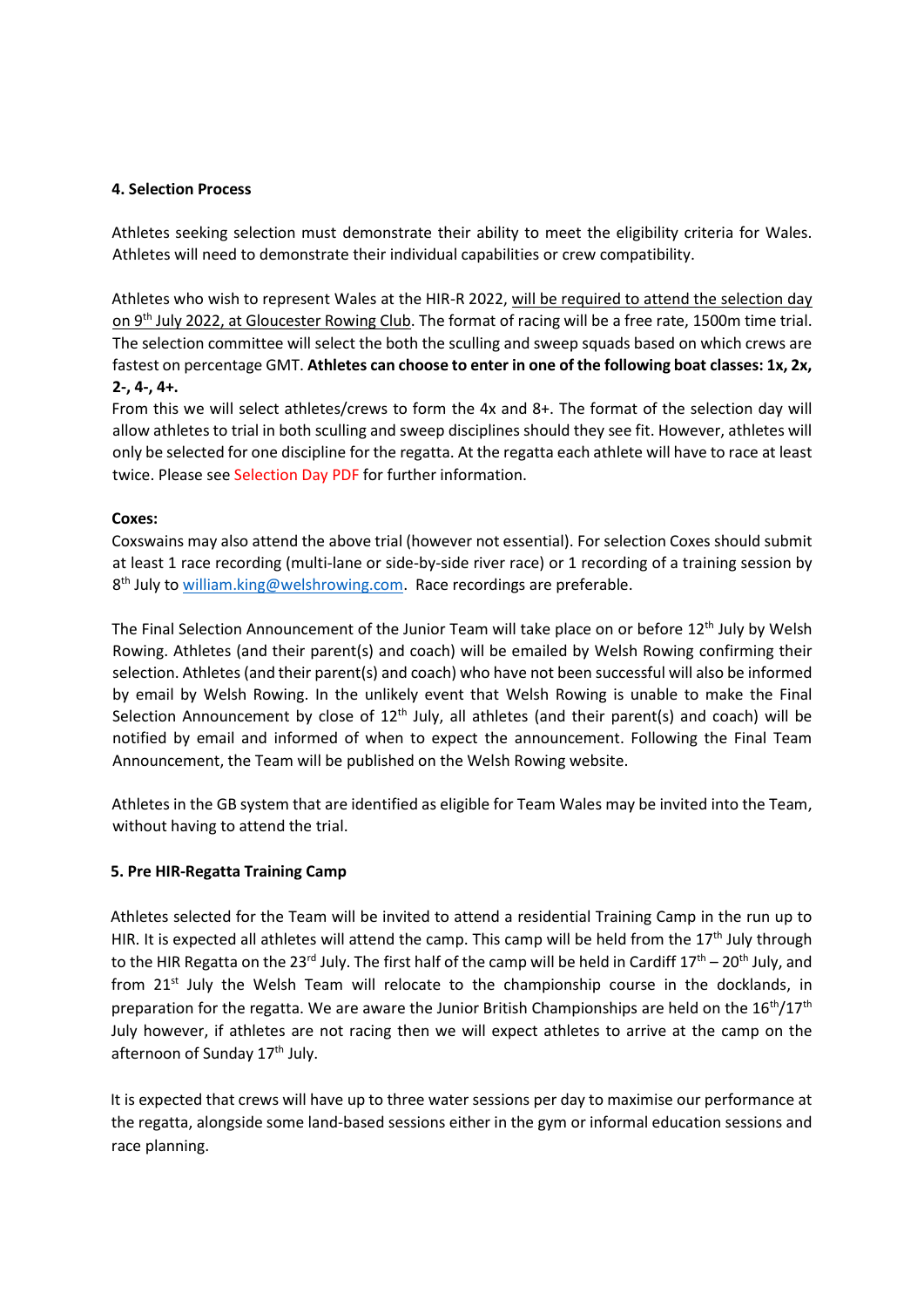### **4. Selection Process**

Athletes seeking selection must demonstrate their ability to meet the eligibility criteria for Wales. Athletes will need to demonstrate their individual capabilities or crew compatibility.

Athletes who wish to represent Wales at the HIR-R 2022, will be required to attend the selection day on 9th July 2022, at Gloucester Rowing Club. The format of racing will be a free rate, 1500m time trial. The selection committee will select the both the sculling and sweep squads based on which crews are fastest on percentage GMT. **Athletes can choose to enter in one of the following boat classes: 1x, 2x, 2-, 4-, 4+.**

From this we will select athletes/crews to form the 4x and 8+. The format of the selection day will allow athletes to trial in both sculling and sweep disciplines should they see fit. However, athletes will only be selected for one discipline for the regatta. At the regatta each athlete will have to race at least twice. Please see Selection Day PDF for further information.

### **Coxes:**

Coxswains may also attend the above trial (however not essential). For selection Coxes should submit at least 1 race recording (multi-lane or side-by-side river race) or 1 recording of a training session by 8<sup>th</sup> July to **[william.king@welshrowing.com.](mailto:william.king@welshrowing.com)** Race recordings are preferable.

The Final Selection Announcement of the Junior Team will take place on or before 12<sup>th</sup> July by Welsh Rowing. Athletes (and their parent(s) and coach) will be emailed by Welsh Rowing confirming their selection. Athletes (and their parent(s) and coach) who have not been successful will also be informed by email by Welsh Rowing. In the unlikely event that Welsh Rowing is unable to make the Final Selection Announcement by close of 12<sup>th</sup> July, all athletes (and their parent(s) and coach) will be notified by email and informed of when to expect the announcement. Following the Final Team Announcement, the Team will be published on the Welsh Rowing website.

Athletes in the GB system that are identified as eligible for Team Wales may be invited into the Team, without having to attend the trial.

#### **5. Pre HIR-Regatta Training Camp**

Athletes selected for the Team will be invited to attend a residential Training Camp in the run up to HIR. It is expected all athletes will attend the camp. This camp will be held from the  $17<sup>th</sup>$  July through to the HIR Regatta on the 23<sup>rd</sup> July. The first half of the camp will be held in Cardiff 17<sup>th</sup> – 20<sup>th</sup> July, and from  $21^{st}$  July the Welsh Team will relocate to the championship course in the docklands, in preparation for the regatta. We are aware the Junior British Championships are held on the  $16<sup>th</sup>/17<sup>th</sup>$ July however, if athletes are not racing then we will expect athletes to arrive at the camp on the afternoon of Sunday 17<sup>th</sup> July.

It is expected that crews will have up to three water sessions per day to maximise our performance at the regatta, alongside some land-based sessions either in the gym or informal education sessions and race planning.